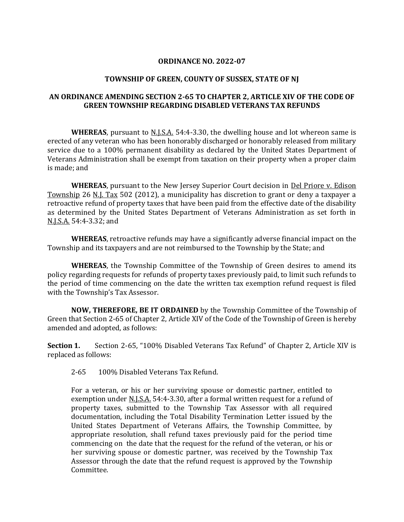# **ORDINANCE NO. 2022-07**

## **TOWNSHIP OF GREEN, COUNTY OF SUSSEX, STATE OF NJ**

# **AN ORDINANCE AMENDING SECTION 2-65 TO CHAPTER 2, ARTICLE XIV OF THE CODE OF GREEN TOWNSHIP REGARDING DISABLED VETERANS TAX REFUNDS**

**WHEREAS**, pursuant to <u>N.J.S.A.</u> 54:4-3.30, the dwelling house and lot whereon same is erected of any veteran who has been honorably discharged or honorably released from military service due to a 100% permanent disability as declared by the United States Department of Veterans Administration shall be exempt from taxation on their property when a proper claim is made; and

**WHEREAS**, pursuant to the New Jersey Superior Court decision in Del Priore v. Edison Township 26 N.J. Tax 502 (2012), a municipality has discretion to grant or deny a taxpayer a retroactive refund of property taxes that have been paid from the effective date of the disability as determined by the United States Department of Veterans Administration as set forth in N.J.S.A. 54:4-3.32; and

**WHEREAS**, retroactive refunds may have a significantly adverse financial impact on the Township and its taxpayers and are not reimbursed to the Township by the State; and

**WHEREAS**, the Township Committee of the Township of Green desires to amend its policy regarding requests for refunds of property taxes previously paid, to limit such refunds to the period of time commencing on the date the written tax exemption refund request is filed with the Township's Tax Assessor.

**NOW, THEREFORE, BE IT ORDAINED** by the Township Committee of the Township of Green that Section 2-65 of Chapter 2, Article XIV of the Code of the Township of Green is hereby amended and adopted, as follows:

**Section 1.** Section 2-65, "100% Disabled Veterans Tax Refund" of Chapter 2, Article XIV is replaced as follows:

2-65 100% Disabled Veterans Tax Refund.

For a veteran, or his or her surviving spouse or domestic partner, entitled to exemption under N.J.S.A. 54:4-3.30, after a formal written request for a refund of property taxes, submitted to the Township Tax Assessor with all required documentation, including the Total Disability Termination Letter issued by the United States Department of Veterans Affairs, the Township Committee, by appropriate resolution, shall refund taxes previously paid for the period time commencing on the date that the request for the refund of the veteran, or his or her surviving spouse or domestic partner, was received by the Township Tax Assessor through the date that the refund request is approved by the Township Committee.